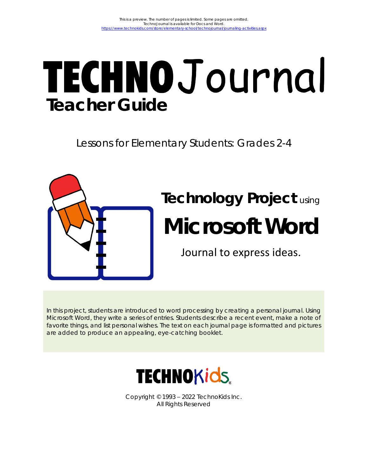# **TECHNOJ** ournal **Teacher Guide**

Lessons for Elementary Students: Grades 2-4



#### In this project, students are introduced to word processing by creating a personal journal. Using Microsoft Word, they write a series of entries. Students describe a recent event, make a note of favorite things, and list personal wishes. The text on each journal page is formatted and pictures are added to produce an appealing, eye-catching booklet.



Copyright © 1993 – 2022 TechnoKids Inc. All Rights Reserved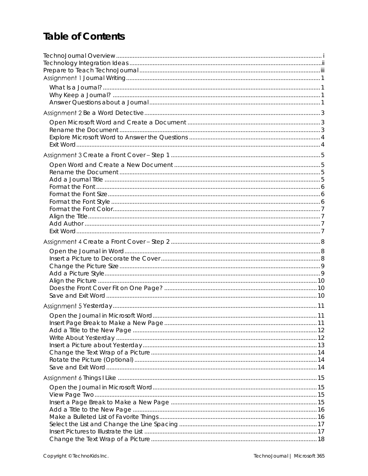## **Table of Contents**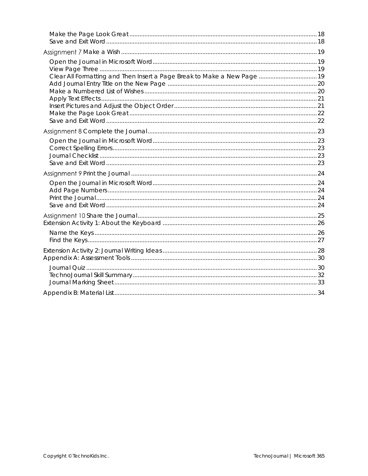| Clear All Formatting and Then Insert a Page Break to Make a New Page  19 |  |
|--------------------------------------------------------------------------|--|
|                                                                          |  |
|                                                                          |  |
|                                                                          |  |
|                                                                          |  |
|                                                                          |  |
|                                                                          |  |
|                                                                          |  |
|                                                                          |  |
|                                                                          |  |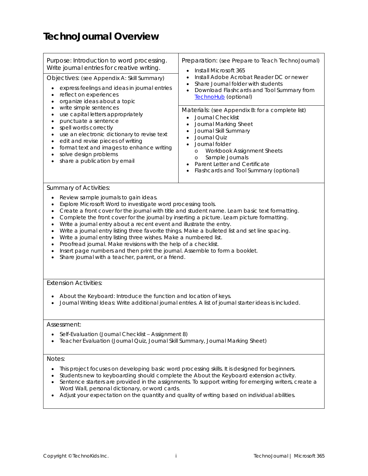## **TechnoJournal Overview**

| Purpose: Introduction to word processing.<br>Write journal entries for creative writing.<br>Objectives: (see Appendix A: Skill Summary)<br>express feelings and ideas in journal entries<br>$\bullet$<br>reflect on experiences<br>$\bullet$<br>organize ideas about a topic<br>$\bullet$<br>write simple sentences<br>$\bullet$<br>use capital letters appropriately<br>$\bullet$<br>punctuate a sentence<br>$\bullet$<br>spell words correctly<br>$\bullet$<br>use an electronic dictionary to revise text<br>$\bullet$<br>edit and revise pieces of writing<br>$\bullet$                                                                                                                                                                                                                                                                                                                     | Preparation: (see Prepare to Teach TechnoJournal)<br>Install Microsoft 365<br>$\bullet$<br>Install Adobe Acrobat Reader DC or newer<br>$\bullet$<br>Share Journal folder with students<br>$\bullet$<br>Download Flashcards and Tool Summary from<br>$\bullet$<br>TechnoHub (optional)<br>Materials: (see Appendix B: for a complete list)<br>Journal Checklist<br>Journal Marking Sheet<br>$\bullet$<br>Journal Skill Summary<br>Journal Quiz<br>$\bullet$ |  |  |  |  |  |
|-------------------------------------------------------------------------------------------------------------------------------------------------------------------------------------------------------------------------------------------------------------------------------------------------------------------------------------------------------------------------------------------------------------------------------------------------------------------------------------------------------------------------------------------------------------------------------------------------------------------------------------------------------------------------------------------------------------------------------------------------------------------------------------------------------------------------------------------------------------------------------------------------|------------------------------------------------------------------------------------------------------------------------------------------------------------------------------------------------------------------------------------------------------------------------------------------------------------------------------------------------------------------------------------------------------------------------------------------------------------|--|--|--|--|--|
| format text and images to enhance writing<br>$\bullet$<br>solve design problems<br>$\bullet$<br>share a publication by email                                                                                                                                                                                                                                                                                                                                                                                                                                                                                                                                                                                                                                                                                                                                                                    | Journal folder<br>Workbook Assignment Sheets<br>$\circ$<br>Sample Journals<br>$\circ$<br>Parent Letter and Certificate<br>Flashcards and Tool Summary (optional)<br>$\bullet$                                                                                                                                                                                                                                                                              |  |  |  |  |  |
| <b>Summary of Activities:</b>                                                                                                                                                                                                                                                                                                                                                                                                                                                                                                                                                                                                                                                                                                                                                                                                                                                                   |                                                                                                                                                                                                                                                                                                                                                                                                                                                            |  |  |  |  |  |
| Review sample journals to gain ideas.<br>$\bullet$<br>Explore Microsoft Word to investigate word processing tools.<br>$\bullet$<br>Create a front cover for the journal with title and student name. Learn basic text formatting.<br>$\bullet$<br>Complete the front cover for the journal by inserting a picture. Learn picture formatting.<br>$\bullet$<br>Write a journal entry about a recent event and illustrate the entry.<br>$\bullet$<br>Write a journal entry listing three favorite things. Make a bulleted list and set line spacing.<br>$\bullet$<br>Write a journal entry listing three wishes. Make a numbered list.<br>$\bullet$<br>Proofread journal. Make revisions with the help of a checklist.<br>$\bullet$<br>Insert page numbers and then print the journal. Assemble to form a booklet.<br>$\bullet$<br>Share journal with a teacher, parent, or a friend.<br>$\bullet$ |                                                                                                                                                                                                                                                                                                                                                                                                                                                            |  |  |  |  |  |
| <b>Extension Activities:</b>                                                                                                                                                                                                                                                                                                                                                                                                                                                                                                                                                                                                                                                                                                                                                                                                                                                                    |                                                                                                                                                                                                                                                                                                                                                                                                                                                            |  |  |  |  |  |
| About the Keyboard: Introduce the function and location of keys.                                                                                                                                                                                                                                                                                                                                                                                                                                                                                                                                                                                                                                                                                                                                                                                                                                | Journal Writing Ideas: Write additional journal entries. A list of journal starter ideas is included.                                                                                                                                                                                                                                                                                                                                                      |  |  |  |  |  |
| Assessment:                                                                                                                                                                                                                                                                                                                                                                                                                                                                                                                                                                                                                                                                                                                                                                                                                                                                                     |                                                                                                                                                                                                                                                                                                                                                                                                                                                            |  |  |  |  |  |
| Self-Evaluation (Journal Checklist - Assignment 8)<br>Teacher Evaluation (Journal Quiz, Journal Skill Summary, Journal Marking Sheet)<br>$\bullet$                                                                                                                                                                                                                                                                                                                                                                                                                                                                                                                                                                                                                                                                                                                                              |                                                                                                                                                                                                                                                                                                                                                                                                                                                            |  |  |  |  |  |
| Notes:                                                                                                                                                                                                                                                                                                                                                                                                                                                                                                                                                                                                                                                                                                                                                                                                                                                                                          |                                                                                                                                                                                                                                                                                                                                                                                                                                                            |  |  |  |  |  |
| This project focuses on developing basic word processing skills. It is designed for beginners.<br>$\bullet$<br>٠<br>Word Wall, personal dictionary, or word cards.                                                                                                                                                                                                                                                                                                                                                                                                                                                                                                                                                                                                                                                                                                                              | Students new to keyboarding should complete the About the Keyboard extension activity.<br>Sentence starters are provided in the assignments. To support writing for emerging writers, create a<br>Adjust your expectation on the quantity and quality of writing based on individual abilities.                                                                                                                                                            |  |  |  |  |  |
|                                                                                                                                                                                                                                                                                                                                                                                                                                                                                                                                                                                                                                                                                                                                                                                                                                                                                                 |                                                                                                                                                                                                                                                                                                                                                                                                                                                            |  |  |  |  |  |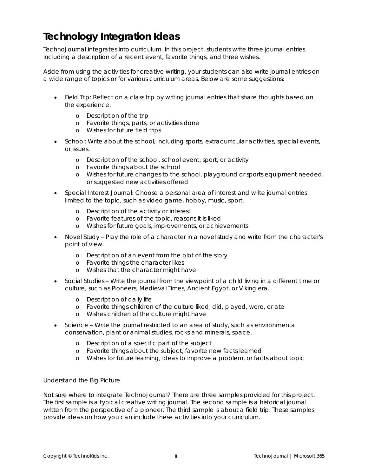#### **Technology Integration Ideas**

TechnoJournal integrates into curriculum. In this project, students write three journal entries including a description of a recent event, favorite things, and three wishes.

Aside from using the activities for creative writing, your students can also write journal entries on a wide range of topics or for various curriculum areas. Below are some suggestions:

- Field Trip: Reflect on a class trip by writing journal entries that share thoughts based on the experience.
	- o Description of the trip
	- o Favorite things, parts, or activities done
	- o Wishes for future field trips
- *School:* Write about the school, including sports, extracurricular activities, special events, or issues.
	- o Description of the school, school event, sport, or activity
	- o Favorite things about the school
	- o Wishes for future changes to the school, playground or sports equipment needed, or suggested new activities offered
- *Special Interest Journal:* Choose a personal area of interest and write journal entries limited to the topic, such as video game, hobby, music, sport.
	- o Description of the activity or interest
	- o Favorite features of the topic, reasons it is liked
	- o Wishes for future goals, improvements, or achievements
- *Novel Study* Play the role of a character in a novel study and write from the character's point of view.
	- o Description of an event from the plot of the story
	- o Favorite things the character likes
	- o Wishes that the character might have
- *Social Studies* Write the journal from the viewpoint of a child living in a different time or culture, such as Pioneers, Medieval Times, Ancient Egypt, or Viking era.
	- o Description of daily life
	- o Favorite things children of the culture liked, did, played, wore, or ate
	- o Wishes children of the culture might have
- *Science* Write the journal restricted to an area of study, such as environmental conservation, plant or animal studies, rocks and minerals, space.
	- o Description of a specific part of the subject
	- o Favorite things about the subject, favorite new facts learned
	- o Wishes for future learning, ideas to improve a problem, or facts about topic

#### *Understand the Big Picture*

Not sure where to integrate TechnoJournal? There are three samples provided for this project. The first sample is a typical creative writing journal. The second sample is a historical journal written from the perspective of a pioneer. The third sample is about a field trip. These samples provide ideas on how you can include these activities into your curriculum.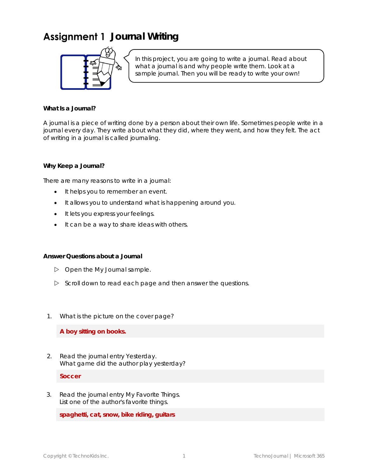## Assignment 1 Journal Writing



In this project, you are going to write a journal. Read about what a journal is and why people write them. Look at a sample journal. Then you will be ready to write your own!

**What Is a Journal?**

A journal is a piece of writing done by a person about their own life. Sometimes people write in a journal every day. They write about what they did, where they went, and how they felt. The act of writing in a journal is called *journaling*.

**Why Keep a Journal?**

There are many reasons to write in a journal:

- It helps you to remember an event.
- It allows you to understand what is happening around you.
- It lets you express your feelings.
- It can be a way to share ideas with others.

**Answer Questions about a Journal**

- Open the *My Journal* sample.
- $\triangleright$  Scroll down to read each page and then answer the questions.
- 1. What is the picture on the cover page?

**A boy sitting on books.**

2. Read the journal entry *Yesterday*. What game did the author play yesterday?

**Soccer**

3. Read the journal entry *My Favorite Things*. List one of the author's favorite things.

**spaghetti, cat, snow, bike riding, guitars**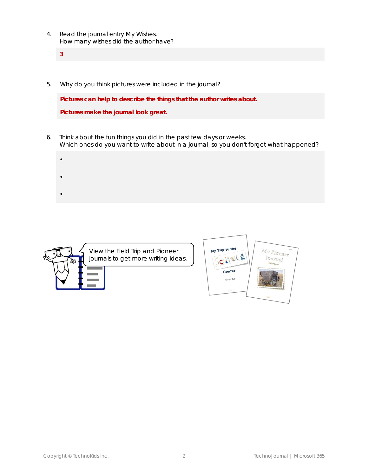- 4. Read the journal entry *My Wishes*. How many wishes did the author have?
	- **3**
- 5. Why do you think pictures were included in the journal?

**Pictures can help to describe the things that the author writes about.**

**Pictures make the journal look great.**

- 6. Think about the fun things you did in the past few days or weeks. Which ones do you want to write about in a journal, so you don't forget what happened?
	- •
	-
	- •
	- •



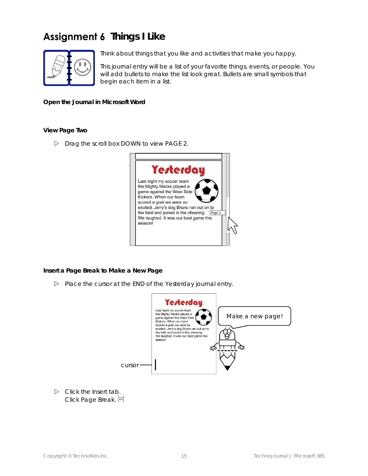# Assignment 6 Things I Like



Think about things that you like and activities that make you happy.

This journal entry will be a list of your favorite things, events, or people. You will add bullets to make the list look great. Bullets are small symbols that begin each item in a list.

**Open the Journal in Microsoft Word**

**View Page Two**

Drag the scroll box DOWN to view PAGE 2.



**Insert a Page Break to Make a New Page**

Place the cursor at the END of the *Yesterday* journal entry.



 Click the *Insert* tab. Click *Page Break*.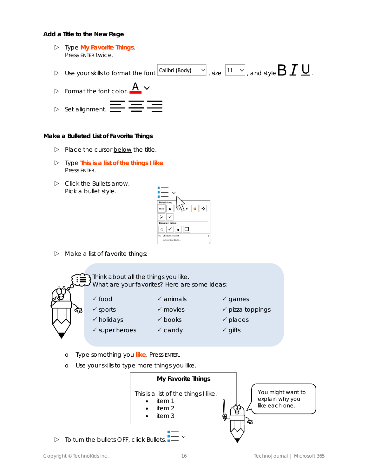**Add a Title to the New Page**

 Type **My Favorite Things**. Press ENTER twice.  $\triangleright$  Use your skills to format the font  $\boxed{\textsf{Calibri (Body)}} \quad \vee \quad \text{size} \ \boxed{11 \quad \vee}$  , and style  $\textbf{B I} \sqcup \text{S}$ <u>A  $\backsim$ </u>  $\triangleright$  Format the font color.  $\triangleright$  Set alignment.  $\blacksquare$ 

**Make a Bulleted List of Favorite Things**

- $\triangleright$  Place the cursor below the title.
- Type **This is a list of the things I like**. Press ENTER.
- Click the *Bullets* arrow*.* Pick a bullet style.



 $\triangleright$  Make a list of favorite things:



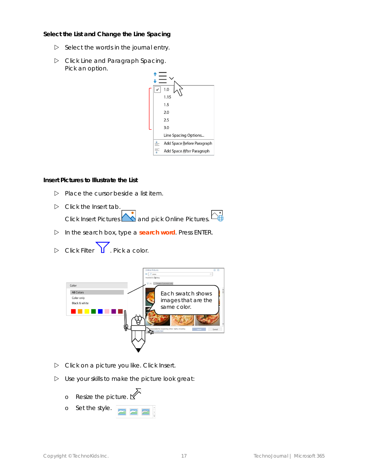**Select the List and Change the Line Spacing**

- $\triangleright$  Select the words in the journal entry.
- Click *Line and Paragraph Spacing*. Pick an option.



**Insert Pictures to Illustrate the List**

- $\triangleright$  Place the cursor beside a list item.
- $\triangleright$  Click the Insert tab. Click *Insert Pictures* **A** and pick *Online Pictures*.
- In the search box, type a **search word**. Press ENTER.
- $\triangleright$  Click Filter **1**. Pick a color.



- Click on a picture you like. Click *Insert.*
- $\triangleright$  Use your skills to make the picture look great:
	- o Resize the picture.  $\sum$
	- o Set the style.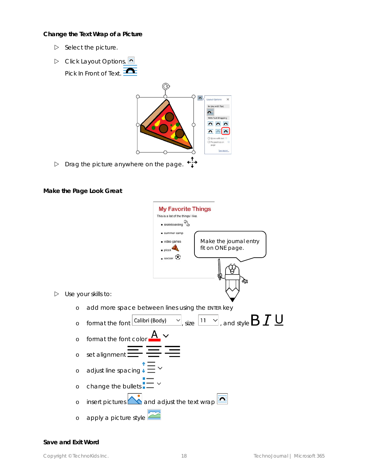**Change the Text Wrap of a Picture**

- $\triangleright$  Select the picture.
- Click *Layout Options*. Pick *In Front of Text*.



**Make the Page Look Great**

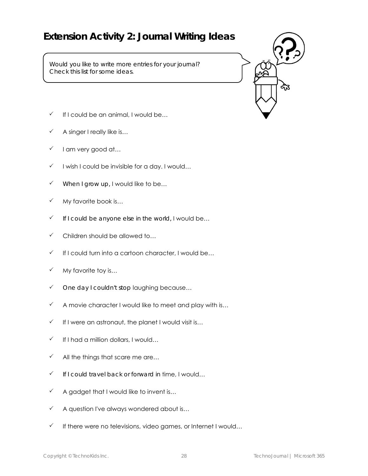#### **Extension Activity 2: Journal Writing Ideas**

Would you like to write more entries for your journal? Check this list for some ideas.



- $\checkmark$  If I could be an animal, I would be...
- A singer I really like is…
- $\checkmark$  I am very good at...
- $\checkmark$  I wish I could be invisible for a day. I would...
- $\checkmark$  When I grow up, I would like to be...
- $\checkmark$  My favorite book is...
- $\checkmark$  If I could be anyone else in the world, I would be...
- $\checkmark$  Children should be allowed to...
- If I could turn into a cartoon character, I would be…
- $\checkmark$  My favorite toy is...
- $\checkmark$  One day I couldn't stop laughing because...
- $\checkmark$  A movie character I would like to meet and play with is...
- $\checkmark$  If I were an astronaut, the planet I would visit is...
- $\checkmark$  If I had a million dollars, I would...
- $\checkmark$  All the things that scare me are...
- $\checkmark$  If I could travel back or forward in time, I would...
- $\checkmark$  A gadget that I would like to invent is...
- $\checkmark$  A question I've always wondered about is...
- $\checkmark$  If there were no televisions, video games, or Internet I would...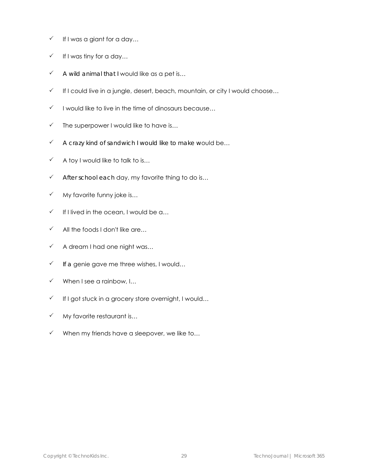- $\checkmark$  If I was a giant for a day...
- $\checkmark$  If I was tiny for a day...
- $\checkmark$  A wild animal that I would like as a pet is...
- $\checkmark$  If I could live in a jungle, desert, beach, mountain, or city I would choose...
- $\checkmark$  I would like to live in the time of dinosaurs because...
- $\checkmark$  The superpower I would like to have is...
- $\checkmark$  A crazy kind of sandwich I would like to make would be...
- $\checkmark$  A toy I would like to talk to is...
- $\checkmark$  After school each day, my favorite thing to do is...
- $\checkmark$  My favorite funny joke is...
- $\checkmark$  If I lived in the ocean, I would be a...
- $\checkmark$  All the foods I don't like are...
- $\checkmark$  A dream I had one night was...
- $\checkmark$  If a genie gave me three wishes, I would...
- $\checkmark$  When I see a rainbow, I...
- $\checkmark$  If I got stuck in a grocery store overnight, I would...
- $\checkmark$  My favorite restaurant is...
- $\checkmark$  When my friends have a sleepover, we like to...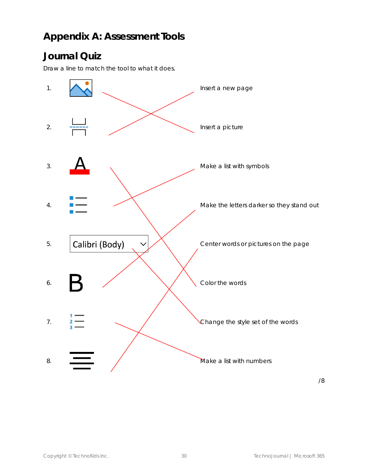#### **Appendix A: Assessment Tools**

#### **Journal Quiz**

Draw a line to match the tool to what it does.



/8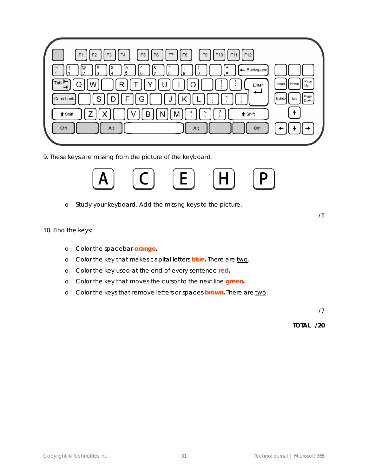

9. These keys are missing from the picture of the keyboard.



- o Study your keyboard. Add the missing keys to the picture.
- 10. Find the keys:
	- o Color the spacebar **orange.**
	- o Color the key that makes capital letters **blue.** There are two.
	- o Color the key used at the end of every sentence **red.**
	- o Color the key that moves the cursor to the next line **green.**
	- o Color the keys that remove letters or spaces **brown.** There are two.

/7

/5

**TOTAL /20**